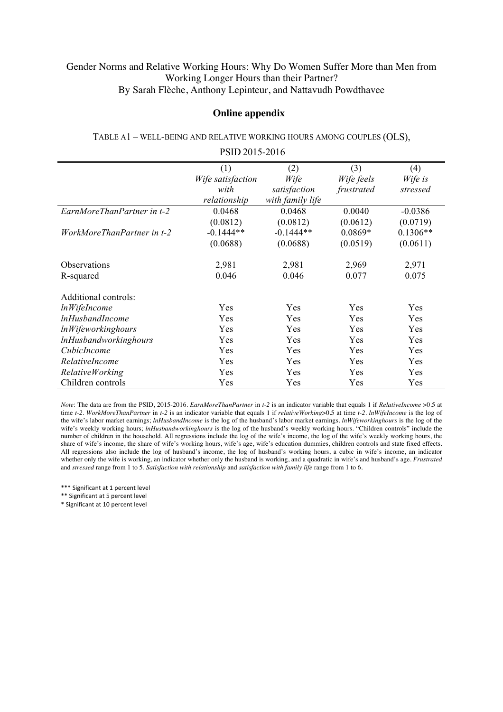## Gender Norms and Relative Working Hours: Why Do Women Suffer More than Men from Working Longer Hours than their Partner? By Sarah Flèche, Anthony Lepinteur, and Nattavudh Powdthavee

## **Online appendix**

| PSID 2015-2016               |                   |                  |            |            |  |  |  |
|------------------------------|-------------------|------------------|------------|------------|--|--|--|
|                              | (1)               | (2)              | (3)        | (4)        |  |  |  |
|                              | Wife satisfaction | Wife             | Wife feels | Wife is    |  |  |  |
|                              | with              | satisfaction     | frustrated | stressed   |  |  |  |
|                              | relationship      | with family life |            |            |  |  |  |
| EarnMoreThanPartner in t-2   | 0.0468            | 0.0468           | 0.0040     | $-0.0386$  |  |  |  |
|                              | (0.0812)          | (0.0812)         | (0.0612)   | (0.0719)   |  |  |  |
| WorkMoreThanPartner in t-2   | $-0.1444**$       | $-0.1444**$      | $0.0869*$  | $0.1306**$ |  |  |  |
|                              | (0.0688)          | (0.0688)         | (0.0519)   | (0.0611)   |  |  |  |
| <b>Observations</b>          | 2,981             | 2,981            | 2,969      | 2,971      |  |  |  |
| R-squared                    | 0.046             | 0.046            | 0.077      | 0.075      |  |  |  |
| Additional controls:         |                   |                  |            |            |  |  |  |
| <i>lnWifeIncome</i>          | Yes               | Yes              | Yes        | Yes        |  |  |  |
| <i>lnHusbandIncome</i>       | Yes               | Yes              | Yes        | Yes        |  |  |  |
| <i>InWifeworkinghours</i>    | Yes               | Yes              | Yes        | Yes        |  |  |  |
| <i>InHusbandworkinghours</i> | Yes               | Yes              | Yes        | Yes        |  |  |  |
| CubicIncome                  | Yes               | Yes              | Yes        | Yes        |  |  |  |
| RelativeIncome               | Yes               | Yes              | Yes        | Yes        |  |  |  |
| RelativeWorking              | Yes               | Yes              | Yes        | Yes        |  |  |  |
| Children controls            | Yes               | Yes              | Yes        | Yes        |  |  |  |

## TABLE A1 – WELL-BEING AND RELATIVE WORKING HOURS AMONG COUPLES (OLS),

*Note*: The data are from the PSID, 2015-2016. *EarnMoreThanPartner* in *t-2* is an indicator variable that equals 1 if *RelativeIncome* >0.5 at time *t-2*. *WorkMoreThanPartner* in *t-2* is an indicator variable that equals 1 if *relativeWorking*>0.5 at time *t-2. lnWifeIncome* is the log of the wife's labor market earnings; *lnHusbandIncome* is the log of the husband's labor market earnings. *lnWifeworkinghours* is the log of the wife's weekly working hours; *lnHusbandworkinghours* is the log of the husband's weekly working hours. "Children controls" include the number of children in the household. All regressions include the log of the wife's income, the log of the wife's weekly working hours, the share of wife's income, the share of wife's working hours, wife's age, wife's education dummies, children controls and state fixed effects. All regressions also include the log of husband's income, the log of husband's working hours, a cubic in wife's income, an indicator whether only the wife is working, an indicator whether only the husband is working, and a quadratic in wife's and husband's age. *Frustrated* and *stressed* range from 1 to 5. *Satisfaction with relationship* and *satisfaction with family life* range from 1 to 6.

\*\*\* Significant at 1 percent level

\*\* Significant at 5 percent level

\* Significant at 10 percent level